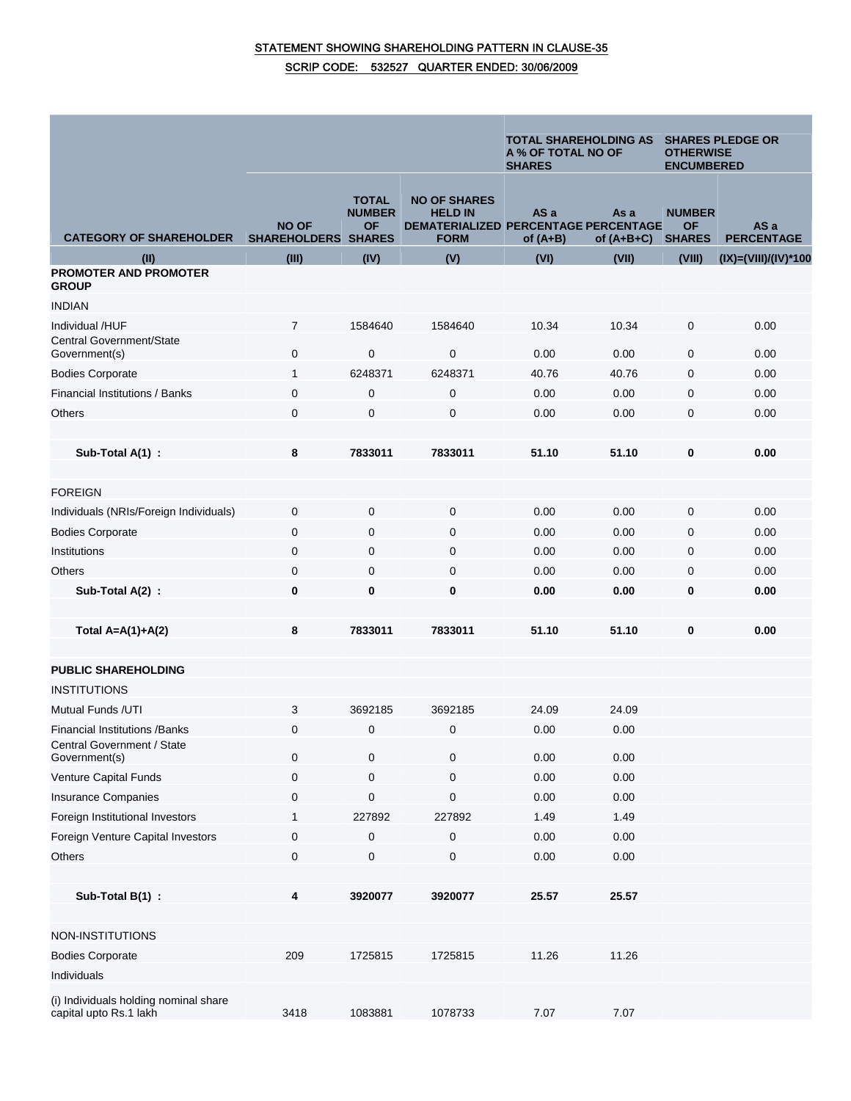### STATEMENT SHOWING SHAREHOLDING PATTERN IN CLAUSE-35 SCRIP CODE: 532527 QUARTER ENDED: 30/06/2009

|                                                                 |                                     |                                            | <b>TOTAL SHAREHOLDING AS</b><br>A % OF TOTAL NO OF<br><b>SHARES</b>                          |                    | <b>SHARES PLEDGE OR</b><br><b>OTHERWISE</b><br><b>ENCUMBERED</b> |                                             |                           |
|-----------------------------------------------------------------|-------------------------------------|--------------------------------------------|----------------------------------------------------------------------------------------------|--------------------|------------------------------------------------------------------|---------------------------------------------|---------------------------|
| <b>CATEGORY OF SHAREHOLDER</b>                                  | <b>NO OF</b><br>SHAREHOLDERS SHARES | <b>TOTAL</b><br><b>NUMBER</b><br><b>OF</b> | <b>NO OF SHARES</b><br><b>HELD IN</b><br><b>DEMATERIALIZED PERCENTAGE PERCENTAGE</b><br>FORM | AS a<br>of $(A+B)$ | As a<br>of $(A+B+C)$                                             | <b>NUMBER</b><br><b>OF</b><br><b>SHARES</b> | AS a<br><b>PERCENTAGE</b> |
| (II)                                                            | (III)                               | (IV)                                       | (V)                                                                                          | (VI)               | (VII)                                                            | (VIII)                                      | (IX)=(VIII)/(IV)*100      |
| PROMOTER AND PROMOTER<br><b>GROUP</b>                           |                                     |                                            |                                                                                              |                    |                                                                  |                                             |                           |
| <b>INDIAN</b>                                                   |                                     |                                            |                                                                                              |                    |                                                                  |                                             |                           |
| Individual /HUF                                                 | $\overline{7}$                      | 1584640                                    | 1584640                                                                                      | 10.34              | 10.34                                                            | 0                                           | 0.00                      |
| <b>Central Government/State</b><br>Government(s)                | 0                                   | $\mathbf 0$                                | 0                                                                                            | 0.00               | 0.00                                                             | 0                                           | 0.00                      |
| <b>Bodies Corporate</b>                                         | 1                                   | 6248371                                    | 6248371                                                                                      | 40.76              | 40.76                                                            | $\mathbf 0$                                 | 0.00                      |
| <b>Financial Institutions / Banks</b>                           | 0                                   | $\mathbf 0$                                | 0                                                                                            | 0.00               | 0.00                                                             | 0                                           | 0.00                      |
| Others                                                          | 0                                   | 0                                          | 0                                                                                            | 0.00               | 0.00                                                             | $\mathbf 0$                                 | 0.00                      |
|                                                                 |                                     |                                            |                                                                                              |                    |                                                                  |                                             |                           |
| Sub-Total A(1) :                                                | 8                                   | 7833011                                    | 7833011                                                                                      | 51.10              | 51.10                                                            | 0                                           | 0.00                      |
| <b>FOREIGN</b>                                                  |                                     |                                            |                                                                                              |                    |                                                                  |                                             |                           |
| Individuals (NRIs/Foreign Individuals)                          | 0                                   | $\mathbf 0$                                | 0                                                                                            | 0.00               | 0.00                                                             | 0                                           | 0.00                      |
| <b>Bodies Corporate</b>                                         | 0                                   | 0                                          | 0                                                                                            | 0.00               | 0.00                                                             | 0                                           | 0.00                      |
| Institutions                                                    | 0                                   | $\mathbf 0$                                | $\mathbf 0$                                                                                  | 0.00               | 0.00                                                             | $\mathbf 0$                                 | 0.00                      |
| Others                                                          | 0                                   | $\mathbf 0$                                | 0                                                                                            | 0.00               | 0.00                                                             | $\mathbf 0$                                 | 0.00                      |
| Sub-Total A(2) :                                                | 0                                   | 0                                          | 0                                                                                            | 0.00               | 0.00                                                             | 0                                           | 0.00                      |
| Total $A=A(1)+A(2)$                                             | 8                                   | 7833011                                    | 7833011                                                                                      | 51.10              | 51.10                                                            | 0                                           | 0.00                      |
| <b>PUBLIC SHAREHOLDING</b>                                      |                                     |                                            |                                                                                              |                    |                                                                  |                                             |                           |
| <b>INSTITUTIONS</b>                                             |                                     |                                            |                                                                                              |                    |                                                                  |                                             |                           |
| Mutual Funds /UTI                                               | 3                                   | 3692185                                    | 3692185                                                                                      | 24.09              | 24.09                                                            |                                             |                           |
| Financial Institutions /Banks                                   | 0                                   | 0                                          | 0                                                                                            | 0.00               | 0.00                                                             |                                             |                           |
| Central Government / State<br>Government(s)                     | $\pmb{0}$                           | $\pmb{0}$                                  | 0                                                                                            | 0.00               | 0.00                                                             |                                             |                           |
| Venture Capital Funds                                           | 0                                   | $\mathbf 0$                                | 0                                                                                            | 0.00               | 0.00                                                             |                                             |                           |
| Insurance Companies                                             | 0                                   | $\pmb{0}$                                  | 0                                                                                            | 0.00               | 0.00                                                             |                                             |                           |
| Foreign Institutional Investors                                 | 1                                   | 227892                                     | 227892                                                                                       | 1.49               | 1.49                                                             |                                             |                           |
| Foreign Venture Capital Investors                               | 0                                   | $\pmb{0}$                                  | 0                                                                                            | 0.00               | 0.00                                                             |                                             |                           |
| Others                                                          | 0                                   | 0                                          | 0                                                                                            | 0.00               | 0.00                                                             |                                             |                           |
| Sub-Total B(1) :                                                | 4                                   | 3920077                                    | 3920077                                                                                      | 25.57              | 25.57                                                            |                                             |                           |
| NON-INSTITUTIONS                                                |                                     |                                            |                                                                                              |                    |                                                                  |                                             |                           |
| <b>Bodies Corporate</b>                                         | 209                                 | 1725815                                    | 1725815                                                                                      | 11.26              | 11.26                                                            |                                             |                           |
| Individuals                                                     |                                     |                                            |                                                                                              |                    |                                                                  |                                             |                           |
| (i) Individuals holding nominal share<br>capital upto Rs.1 lakh | 3418                                | 1083881                                    | 1078733                                                                                      | 7.07               | 7.07                                                             |                                             |                           |
|                                                                 |                                     |                                            |                                                                                              |                    |                                                                  |                                             |                           |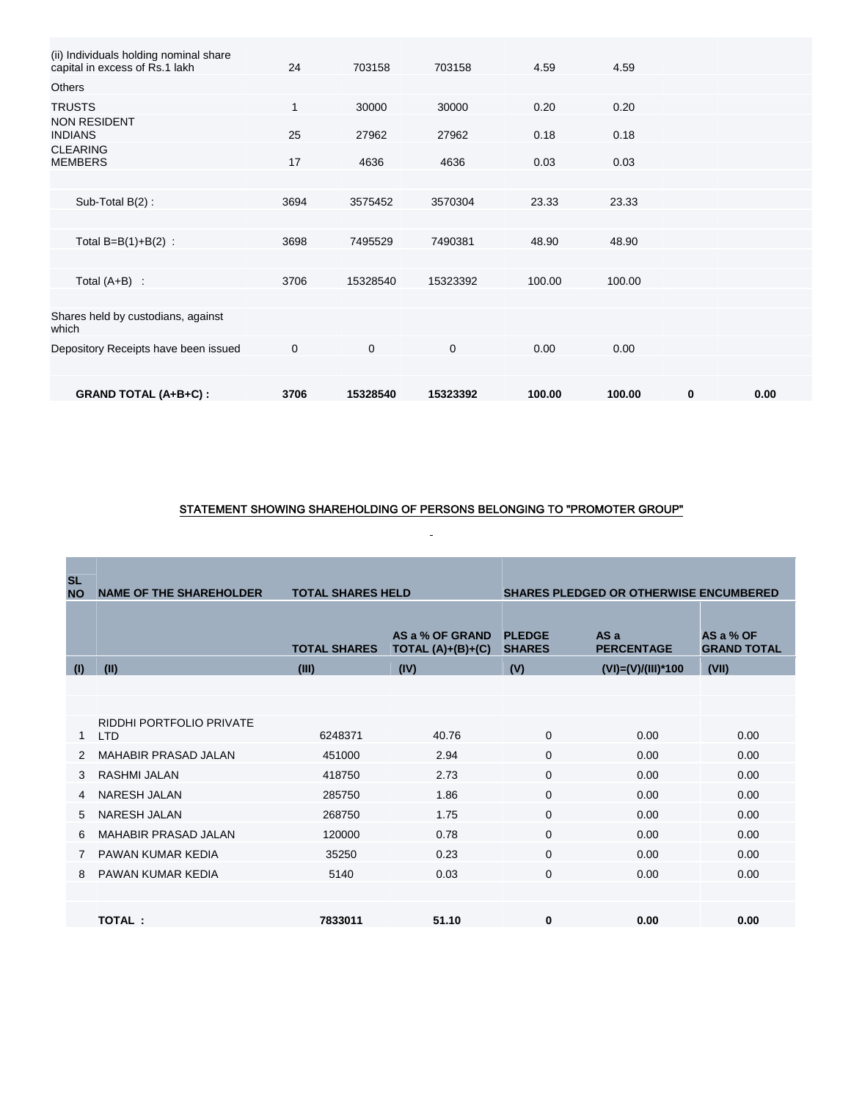| (ii) Individuals holding nominal share<br>capital in excess of Rs.1 lakh | 24             | 703158      | 703158      | 4.59   | 4.59   |             |      |
|--------------------------------------------------------------------------|----------------|-------------|-------------|--------|--------|-------------|------|
| <b>Others</b>                                                            |                |             |             |        |        |             |      |
| <b>TRUSTS</b>                                                            | 1              | 30000       | 30000       | 0.20   | 0.20   |             |      |
| <b>NON RESIDENT</b><br><b>INDIANS</b>                                    | 25             | 27962       | 27962       | 0.18   | 0.18   |             |      |
| <b>CLEARING</b><br><b>MEMBERS</b>                                        | 17             | 4636        | 4636        | 0.03   | 0.03   |             |      |
|                                                                          |                |             |             |        |        |             |      |
| Sub-Total $B(2)$ :                                                       | 3694           | 3575452     | 3570304     | 23.33  | 23.33  |             |      |
|                                                                          |                |             |             |        |        |             |      |
| Total $B=B(1)+B(2)$ :                                                    | 3698           | 7495529     | 7490381     | 48.90  | 48.90  |             |      |
|                                                                          |                |             |             |        |        |             |      |
| Total $(A+B)$ :                                                          | 3706           | 15328540    | 15323392    | 100.00 | 100.00 |             |      |
|                                                                          |                |             |             |        |        |             |      |
| Shares held by custodians, against<br>which                              |                |             |             |        |        |             |      |
| Depository Receipts have been issued                                     | $\overline{0}$ | $\mathbf 0$ | $\mathbf 0$ | 0.00   | 0.00   |             |      |
|                                                                          |                |             |             |        |        |             |      |
| <b>GRAND TOTAL (A+B+C):</b>                                              | 3706           | 15328540    | 15323392    | 100.00 | 100.00 | $\mathbf 0$ | 0.00 |

# STATEMENT SHOWING SHAREHOLDING OF PERSONS BELONGING TO "PROMOTER GROUP"  $\frac{1}{\sqrt{2}}$

| <b>SL</b><br><b>NO</b> | <b>NAME OF THE SHAREHOLDER</b>         | <b>TOTAL SHARES HELD</b> |                                        | <b>SHARES PLEDGED OR OTHERWISE ENCUMBERED</b> |                           |                                 |  |
|------------------------|----------------------------------------|--------------------------|----------------------------------------|-----------------------------------------------|---------------------------|---------------------------------|--|
|                        |                                        | <b>TOTAL SHARES</b>      | AS a % OF GRAND<br>TOTAL $(A)+(B)+(C)$ | <b>PLEDGE</b><br><b>SHARES</b>                | AS a<br><b>PERCENTAGE</b> | AS a % OF<br><b>GRAND TOTAL</b> |  |
| (1)                    | (II)                                   | (III)                    | (IV)                                   | (V)                                           | $(VI) = (V)/(III)*100$    | (VII)                           |  |
|                        |                                        |                          |                                        |                                               |                           |                                 |  |
|                        |                                        |                          |                                        |                                               |                           |                                 |  |
| 1                      | RIDDHI PORTFOLIO PRIVATE<br><b>LTD</b> | 6248371                  | 40.76                                  | $\mathbf 0$                                   | 0.00                      | 0.00                            |  |
| 2                      | <b>MAHABIR PRASAD JALAN</b>            | 451000                   | 2.94                                   | $\mathbf 0$                                   | 0.00                      | 0.00                            |  |
| 3                      | RASHMI JALAN                           | 418750                   | 2.73                                   | $\mathbf{0}$                                  | 0.00                      | 0.00                            |  |
| $\overline{4}$         | <b>NARESH JALAN</b>                    | 285750                   | 1.86                                   | $\mathbf{0}$                                  | 0.00                      | 0.00                            |  |
| 5                      | <b>NARESH JALAN</b>                    | 268750                   | 1.75                                   | $\mathbf 0$                                   | 0.00                      | 0.00                            |  |
| 6                      | <b>MAHABIR PRASAD JALAN</b>            | 120000                   | 0.78                                   | $\mathbf 0$                                   | 0.00                      | 0.00                            |  |
| 7                      | PAWAN KUMAR KEDIA                      | 35250                    | 0.23                                   | $\mathbf 0$                                   | 0.00                      | 0.00                            |  |
| 8                      | PAWAN KUMAR KEDIA                      | 5140                     | 0.03                                   | $\mathbf 0$                                   | 0.00                      | 0.00                            |  |
|                        |                                        |                          |                                        |                                               |                           |                                 |  |
|                        | TOTAL:                                 | 7833011                  | 51.10                                  | $\bf{0}$                                      | 0.00                      | 0.00                            |  |